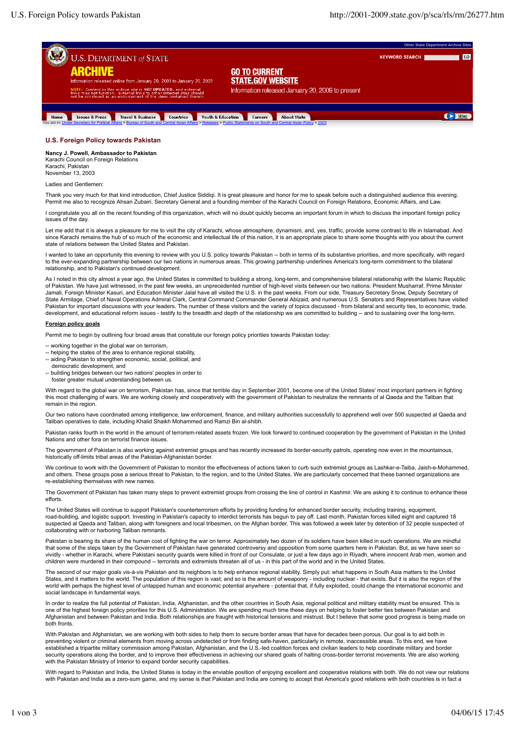**GO** 

Video



## **U.S. Foreign Policy towards Pakistan**

**Nancy J. Powell, Ambassador to Pakistan** Karachi Council on Foreign Relations

Karachi, Pakistan November 13, 2003

Ladies and Gentlemen:

Thank you very much for that kind introduction, Chief Justice Siddiqi. It is great pleasure and honor for me to speak before such a distinguished audience this evening. Permit me also to recognize Ahsan Zubairi, Secretary General and a founding member of the Karachi Council on Foreign Relations, Economic Affairs, and Law.

I congratulate you all on the recent founding of this organization, which will no doubt quickly become an important forum in which to discuss the important foreign policy issues of the day.

Let me add that it is always a pleasure for me to visit the city of Karachi, whose atmosphere, dynamism, and, yes, traffic, provide some contrast to life in Islamabad. And since Karachi remains the hub of so much of the economic and intellectual life of this nation, it is an appropriate place to share some thoughts with you about the current state of relations between the United States and Pakistan.

I wanted to take an opportunity this evening to review with you U.S. policy towards Pakistan -- both in terms of its substantive priorities, and more specifically, with regard to the ever-expanding partnership between our two nations in numerous areas. This growing partnership underlines America's long-term commitment to the bilateral relationship, and to Pakistan's continued development.

As I noted in this city almost a year ago, the United States is committed to building a strong, long-term, and comprehensive bilateral relationship with the Islamic Republic of Pakistan. We have just witnessed, in the past few weeks, an unprecedented number of high-level visits between our two nations: President Musharraf, Prime Minister Jamali, Foreign Minister Kasuri, and Education Minister Jalal have all visited the U.S. in the past weeks. From our side, Treasury Secretary Snow, Deputy Secretary of State Armitage, Chief of Naval Operations Admiral Clark, Central Command Commander General Abizaid, and numerous U.S. Senators and Representatives have visited Pakistan for important discussions with your leaders. The number of these visitors and the variety of topics discussed - from bilateral and security ties, to economic, trade, development, and educational reform issues - testify to the breadth and depth of the relationship we are committed to building -- and to sustaining over the long-term.

## **Foreign policy goals**

Permit me to begin by outlining four broad areas that constitute our foreign policy priorities towards Pakistan today:

- -- working together in the global war on terrorism,
- -- helping the states of the area to enhance regional stability,
- aiding Pakistan to strengthen economic, social, political, and
- democratic development, and
- building bridges between our two nations' peoples in order to

foster greater mutual understanding between us.

With regard to the global war on terrorism, Pakistan has, since that terrible day in September 2001, become one of the United States' most important partners in fighting this most challenging of wars. We are working closely and cooperatively with the government of Pakistan to neutralize the remnants of al Qaeda and the Taliban that remain in the region.

Our two nations have coordinated among intelligence, law enforcement, finance, and military authorities successfully to apprehend well over 500 suspected al Qaeda and Taliban operatives to date, including Khalid Shaikh Mohammed and Ramzi Bin al-shibh.

Pakistan ranks fourth in the world in the amount of terrorism-related assets frozen. We look forward to continued cooperation by the government of Pakistan in the United Nations and other fora on terrorist finance issues.

The government of Pakistan is also working against extremist groups and has recently increased its border-security patrols, operating now even in the mountainous, historically off-limits tribal areas of the Pakistan-Afghanistan border.

We continue to work with the Government of Pakistan to monitor the effectiveness of actions taken to curb such extremist groups as Lashkar-e-Taiba, Jaish-e-Mohammed, and others. These groups pose a serious threat to Pakistan, to the region, and to the United States. We are particularly concerned that these banned organizations are re-establishing themselves with new names.

The Government of Pakistan has taken many steps to prevent extremist groups from crossing the line of control in Kashmir. We are asking it to continue to enhance these efforts.

The United States will continue to support Pakistan's counterterrorism efforts by providing funding for enhanced border security, including training, equipment, road-building, and logistic support. Investing in Pakistan's capacity to interdict terrorists has begun to pay off. Last month, Pakistan forces killed eight and captured 18<br>suspected al Qaeda and Taliban, along with foreig collaborating with or harboring Taliban remnants.

Pakistan is bearing its share of the human cost of fighting the war on terror. Approximately two dozen of its soldiers have been killed in such operations. We are mindful<br>that some of the steps taken by the Government of P children were murdered in their compound -- terrorists and extremists threaten all of us - in this part of the world and in the United States.

The second of our major goals vis-à-vis Pakistan and its neighbors is to help enhance regional stability. Simply put: what happens in South Asia matters to the United States, and it matters to the world. The population of this region is vast; and so is the amount of weaponry - including nuclear - that exists. But it is also the region of the<br>world with perhaps the highest level of untap social landscape in fundamental ways.

In order to realize the full potential of Pakistan, India, Afghanistan, and the other countries in South Asia, regional political and military stability must be ensured. This is one of the highest foreign policy priorities for this U.S. Administration. We are spending much time these days on helping to foster better ties between Pakistan and Afghanistan and between Pakistan and India. Both relationships are fraught with historical tensions and mistrust. But I believe that some good progress is being made on both fronts.

With Pakistan and Afghanistan, we are working with both sides to help them to secure border areas that have for decades been porous. Our goal is to aid both in preventing violent or criminal elements from moving across undetected or from finding safe-haven, particularly in remote, inaccessible areas. To this end, we have established a tripartite military commission among Pakistan, Afghanistan, and the U.S.-led coalition forces and civilian leaders to help coordinate military and border security operations along the border, and to improve their effectiveness in achieving our shared goals of halting cross-border terrorist movements. We are also working<br>with the Pakistan Ministry of Interior to expand borde

With regard to Pakistan and India, the United States is today in the enviable position of enjoying excellent and cooperative relations with both. We do not view our relations with Pakistan and India as a zero-sum game, and my sense is that Pakistan and India are coming to accept that America's good relations with both countries is in fact a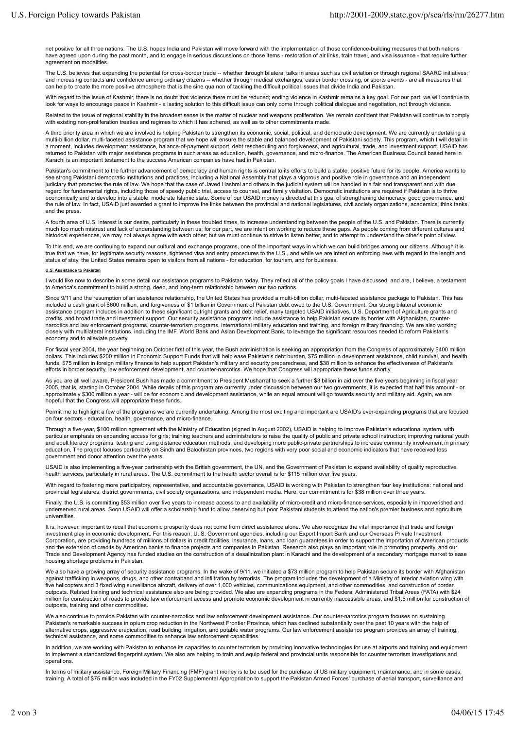net positive for all three nations. The U.S. hopes India and Pakistan will move forward with the implementation of those confidence-building measures that both nations have agreed upon during the past month, and to engage in serious discussions on those items - restoration of air links, train travel, and visa issuance - that require further agreement on modalities.

The U.S. believes that expanding the potential for cross-border trade -- whether through bilateral talks in areas such as civil aviation or through regional SAARC initiatives; and increasing contacts and confidence among ordinary citizens -- whether through medical exchanges, easier border crossing, or sports events - are all measures that can help to create the more positive atmosphere that is the sine qua non of tackling the difficult political issues that divide India and Pakistan.

With regard to the issue of Kashmir, there is no doubt that violence there must be reduced; ending violence in Kashmir remains a key goal. For our part, we will continue to look for ways to encourage peace in Kashmir - a lasting solution to this difficult issue can only come through political dialogue and negotiation, not through violence.

Related to the issue of regional stability in the broadest sense is the matter of nuclear and weapons proliferation. We remain confident that Pakistan will continue to comply with existing non-proliferation treaties and regimes to which it has adhered, as well as to other commitments made.

A third priority area in which we are involved is helping Pakistan to strengthen its economic, social, political, and democratic development. We are currently undertaking a<br>multi-billion dollar, multi-faceted assistance pr a moment, includes development assistance, balance-of-payment support, debt rescheduling and forgiveness, and agricultural, trade, and investment support. USAID has returned to Pakistan with major assistance programs in such areas as education, health, governance, and micro-finance. The American Business Council based here in Karachi is an important testament to the success American companies have had in Pakistan.

Pakistan's commitment to the further advancement of democracy and human rights is central to its efforts to build a stable, positive future for its people. America wants to see strong Pakistani democratic institutions and practices, including a National Assembly that plays a vigorous and positive role in governance and an independent judiciary that promotes the rule of law. We hope that the case of Javed Hashmi and others in the judicial system will be handled in a fair and transparent and with due regard for fundamental rights, including those of speedy public trial, access to counsel, and family visitation. Democratic institutions are required if Pakistan is to thrive economically and to develop into a stable, moderate Islamic state. Some of our USAID money is directed at this goal of strengthening democracy, good governance, and<br>the rule of law. In fact, USAID just awarded a grant to i and the press.

A fourth area of U.S. interest is our desire, particularly in these troubled times, to increase understanding between the people of the U.S. and Pakistan. There is currently much too much mistrust and lack of understanding between us; for our part, we are intent on working to reduce these gaps. As people coming from different cultures and historical experiences, we may not always agree with each other; but we must continue to strive to listen better, and to attempt to understand the other's point of view

To this end, we are continuing to expand our cultural and exchange programs, one of the important ways in which we can build bridges among our citizens. Although it is<br>true that we have, for legitimate security reasons, ti status of stay, the United States remains open to visitors from all nations - for education, for tourism, and for business.

## **U.S. Assistance to Pakistan**

I would like now to describe in some detail our assistance programs to Pakistan today. They reflect all of the policy goals I have discussed, and are, I believe, a testament to America's commitment to build a strong, deep, and long-term relationship between our two nations.

Since 9/11 and the resumption of an assistance relationship, the United States has provided a multi-billion dollar, multi-faceted assistance package to Pakistan. This has included a cash grant of \$600 million, and forgiveness of \$1 billion in Government of Pakistan debt owed to the U.S. Government. Our strong bilateral economic<br>assistance program includes in addition to these significant ou credits, and broad trade and investment support. Our security assistance programs include assistance to help Pakistan secure its border with Afghanistan, counternarcotics and law enforcement programs, counter-terrorism programs, international military education and training, and foreign military financing. We are also working closely with multilateral institutions, including the IMF, World Bank and Asian Development Bank, to leverage the significant resources needed to reform Pakistan's economy and to alleviate poverty.

For fiscal year 2004, the year beginning on October first of this year, the Bush administration is seeking an appropriation from the Congress of approximately \$400 million dollars. This includes \$200 million in Economic Support Funds that will help ease Pakistan's debt burden, \$75 million in development assistance, child survival, and health<br>funds, \$75 million in foreign military finance to efforts in border security, law enforcement development, and counter-narcotics. We hope that Congress will appropriate these funds shortly.

As you are all well aware, President Bush has made a commitment to President Musharraf to seek a further \$3 billion in aid over the five years beginning in fiscal year 2005, that is, starting in October 2004. While details of this program are currently under discussion between our two governments, it is expected that half this amount - or<br>approximately \$300 million a year - will be for e hopeful that the Congress will appropriate these funds.

Permit me to highlight a few of the programs we are currently undertaking. Among the most exciting and important are USAID's ever-expanding programs that are focused on four sectors - education, health, governance, and micro-finance.

Through a five-year, \$100 million agreement with the Ministry of Education (signed in August 2002), USAID is helping to improve Pakistan's educational system, with particular emphasis on expanding access for girls; training teachers and administrators to raise the quality of public and private school instruction; improving national youth<br>and adult literacy programs; testing and using education. The project focuses particularly on Sindh and Balochistan provinces, two regions with very poor social and economic indicators that have received less government and donor attention over the years.

USAID is also implementing a five-year partnership with the British government, the UN, and the Government of Pakistan to expand availability of quality reproductive health services, particularly in rural areas. The U.S. commitment to the health sector overall is for \$115 million over five years.

With regard to fostering more participatory, representative, and accountable governance, USAID is working with Pakistan to strengthen four key institutions: national and provincial legislatures, district governments, civil society organizations, and independent media. Here, our commitment is for \$38 million over three years.

Finally, the U.S. is committing \$53 million over five years to increase access to and availability of micro-credit and micro-finance services, especially in impoverished and underserved rural areas. Soon USAID will offer a scholarship fund to allow deserving but poor Pakistani students to attend the nation's premier business and agriculture universities.

It is, however, important to recall that economic prosperity does not come from direct assistance alone. We also recognize the vital importance that trade and foreign investment play in economic development. For this reason, U. S. Government agencies, including our Export Import Bank and our Overseas Private Investment Corporation, are providing hundreds of millions of dollars in credit facilities, insurance, loans, and loan guarantees in order to support the importation of American products<br>and the extension of credits by American banks Trade and Development Agency has funded studies on the construction of a desalinization plant in Karachi and the development of a secondary mortgage market to ease housing shortage problems in Pakistan.

We also have a growing array of security assistance programs. In the wake of 9/11, we initiated a \$73 million program to help Pakistan secure its border with Afghanistan<br>against trafficking in weapons, drugs, and other con five helicopters and 3 fixed wing surveillance aircraft, delivery of over 1,000 vehicles, communications equipment, and other commodities, and construction of border outposts. Related training and technical assistance also are being provided. We also are expanding programs in the Federal Administered Tribal Areas (FATA) with \$24<br>million for construction of roads to provide law enforcem outposts, training and other commodities.

We also continue to provide Pakistan with counter-narcotics and law enforcement development assistance. Our counter-narcotics program focuses on sustaining Pakistan's remarkable success in opium crop reduction in the Northwest Frontier Province, which has declined substantially over the past 10 years with the help of<br>alternative crops, aggressive eradication, road building, i technical assistance, and some commodities to enhance law enforcement capabilities.

In addition, we are working with Pakistan to enhance its capacities to counter terrorism by providing innovative technologies for use at airports and training and equipment<br>to implement a standardized fingerprint system. W operations.

In terms of military assistance, Foreign Military Financing (FMF) grant money is to be used for the purchase of US military equipment, maintenance, and in some cases, training. A total of \$75 million was included in the FY02 Supplemental Appropriation to support the Pakistan Armed Forces' purchase of aerial transport, surveillance and